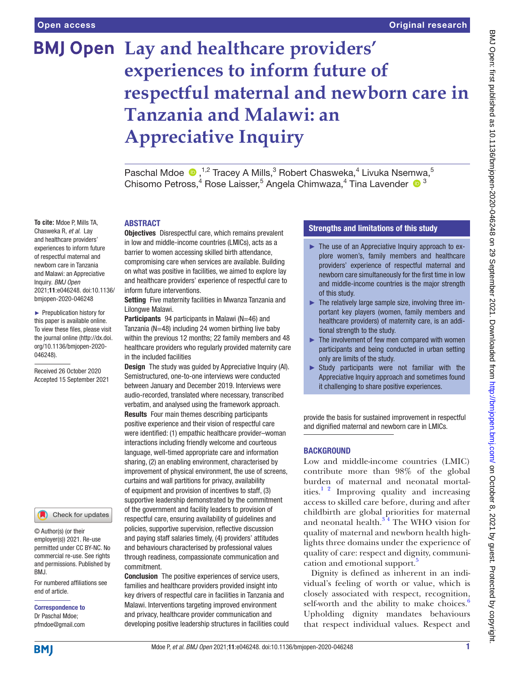**To cite:** Mdoe P, Mills TA, Chasweka R, *et al*. Lay and healthcare providers' experiences to inform future of respectful maternal and newborn care in Tanzania and Malawi: an Appreciative Inquiry. *BMJ Open*

2021;11:e046248. doi:10.1136/ bmjopen-2020-046248 ► Prepublication history for this paper is available online. To view these files, please visit the journal online [\(http://dx.doi.](http://dx.doi.org/10.1136/bmjopen-2020-046248) [org/10.1136/bmjopen-2020-](http://dx.doi.org/10.1136/bmjopen-2020-046248)

Received 26 October 2020 Accepted 15 September 2021

[046248\)](http://dx.doi.org/10.1136/bmjopen-2020-046248).

# **BMJ Open** Lay and healthcare providers' **experiences to inform future of respectful maternal and newborn care in Tanzania and Malawi: an Appreciative Inquiry**

PaschalMdoe  $\bigcirc$ ,<sup>1,2</sup> Tracey A Mills,<sup>3</sup> Robert Chasweka,<sup>4</sup> Livuka Nsemwa,<sup>5</sup> Chisomo Petross,<sup>4</sup> Rose Laisser,<sup>5</sup> Angela Chimwaza,<sup>4</sup> Tina Lavender <sup>13</sup>

## ABSTRACT

Objectives Disrespectful care, which remains prevalent in low and middle-income countries (LMICs), acts as a barrier to women accessing skilled birth attendance, compromising care when services are available. Building on what was positive in facilities, we aimed to explore lay and healthcare providers' experience of respectful care to inform future interventions.

Setting Five maternity facilities in Mwanza Tanzania and Lilongwe Malawi.

Participants 94 participants in Malawi (N=46) and Tanzania (N=48) including 24 women birthing live baby within the previous 12 months; 22 family members and 48 healthcare providers who regularly provided maternity care in the included facilities

Design The study was guided by Appreciative Inquiry (AI). Semistructured, one-to-one interviews were conducted between January and December 2019. Interviews were audio-recorded, translated where necessary, transcribed verbatim, and analysed using the framework approach. Results Four main themes describing participants positive experience and their vision of respectful care were identified: (1) empathic healthcare provider–woman interactions including friendly welcome and courteous language, well-timed appropriate care and information sharing, (2) an enabling environment, characterised by improvement of physical environment, the use of screens, curtains and wall partitions for privacy, availability of equipment and provision of incentives to staff, (3) supportive leadership demonstrated by the commitment of the government and facility leaders to provision of respectful care, ensuring availability of guidelines and policies, supportive supervision, reflective discussion and paying staff salaries timely, (4) providers' attitudes and behaviours characterised by professional values through readiness, compassionate communication and commitment.

Conclusion The positive experiences of service users, families and healthcare providers provided insight into key drivers of respectful care in facilities in Tanzania and Malawi. Interventions targeting improved environment and privacy, healthcare provider communication and developing positive leadership structures in facilities could

# Strengths and limitations of this study

- ► The use of an Appreciative Inquiry approach to explore women's, family members and healthcare providers' experience of respectful maternal and newborn care simultaneously for the first time in low and middle-income countries is the major strength of this study.
- $\blacktriangleright$  The relatively large sample size, involving three important key players (women, family members and healthcare providers) of maternity care, is an additional strength to the study.
- $\blacktriangleright$  The involvement of few men compared with women participants and being conducted in urban setting only are limits of the study.
- ► Study participants were not familiar with the Appreciative Inquiry approach and sometimes found it challenging to share positive experiences.

provide the basis for sustained improvement in respectful and dignified maternal and newborn care in LMICs.

# **BACKGROUND**

Low and middle-income countries (LMIC) contribute more than 98% of the global burden of maternal and neonatal mortalities.<sup>1 2</sup> Improving quality and increasing access to skilled care before, during and after childbirth are global priorities for maternal and neonatal health. $3<sup>34</sup>$  The WHO vision for quality of maternal and newborn health highlights three domains under the experience of quality of care: respect and dignity, communi-cation and emotional support.<sup>[5](#page-8-2)</sup>

Dignity is defined as inherent in an individual's feeling of worth or value, which is closely associated with respect, recognition, self-worth and the ability to make choices. $6$ Upholding dignity mandates behaviours that respect individual values. Respect and

**BMI** 

end of article.

BMJ.

Correspondence to Dr Paschal Mdoe; pfmdoe@gmail.com

© Author(s) (or their employer(s)) 2021. Re-use permitted under CC BY-NC. No commercial re-use. See rights and permissions. Published by

For numbered affiliations see

Check for updates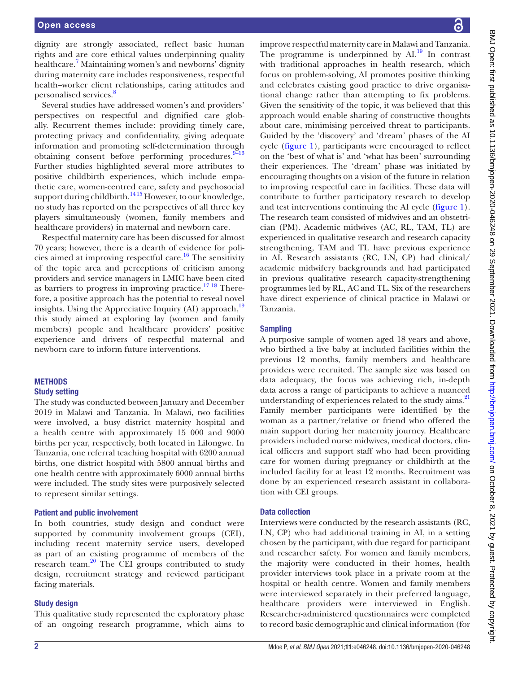dignity are strongly associated, reflect basic human rights and are core ethical values underpinning quality healthcare.<sup>7</sup> Maintaining women's and newborns' dignity during maternity care includes responsiveness, respectful health–worker client relationships, caring attitudes and personalised services.<sup>[8](#page-8-5)</sup>

Several studies have addressed women's and providers' perspectives on respectful and dignified care globally. Recurrent themes include: providing timely care, protecting privacy and confidentiality, giving adequate information and promoting self-determination through obtaining consent before performing procedures.<sup>9-13</sup> Further studies highlighted several more attributes to positive childbirth experiences, which include empathetic care, women-centred care, safety and psychosocial support during childbirth.<sup>1415</sup> However, to our knowledge, no study has reported on the perspectives of all three key players simultaneously (women, family members and healthcare providers) in maternal and newborn care.

Respectful maternity care has been discussed for almost 70 years; however, there is a dearth of evidence for poli-cies aimed at improving respectful care.<sup>[16](#page-8-8)</sup> The sensitivity of the topic area and perceptions of criticism among providers and service managers in LMIC have been cited as barriers to progress in improving practice.<sup>17 18</sup> Therefore, a positive approach has the potential to reveal novel insights. Using the Appreciative Inquiry (AI) approach,<sup>[19](#page-8-10)</sup> this study aimed at exploring lay (women and family members) people and healthcare providers' positive experience and drivers of respectful maternal and newborn care to inform future interventions.

# **METHODS**

## Study setting

The study was conducted between January and December 2019 in Malawi and Tanzania. In Malawi, two facilities were involved, a busy district maternity hospital and a health centre with approximately 15 000 and 9000 births per year, respectively, both located in Lilongwe. In Tanzania, one referral teaching hospital with 6200 annual births, one district hospital with 5800 annual births and one health centre with approximately 6000 annual births were included. The study sites were purposively selected to represent similar settings.

## Patient and public involvement

In both countries, study design and conduct were supported by community involvement groups (CEI), including recent maternity service users, developed as part of an existing programme of members of the research team[.20](#page-8-11) The CEI groups contributed to study design, recruitment strategy and reviewed participant facing materials.

#### Study design

This qualitative study represented the exploratory phase of an ongoing research programme, which aims to

improve respectful maternity care in Malawi and Tanzania. The programme is underpinned by  $AI^{19}$ . In contrast with traditional approaches in health research, which focus on problem-solving, AI promotes positive thinking and celebrates existing good practice to drive organisational change rather than attempting to fix problems. Given the sensitivity of the topic, it was believed that this approach would enable sharing of constructive thoughts about care, minimising perceived threat to participants. Guided by the 'discovery' and 'dream' phases of the AI cycle ([figure](#page-2-0) 1), participants were encouraged to reflect on the 'best of what is' and 'what has been' surrounding their experiences. The 'dream' phase was initiated by encouraging thoughts on a vision of the future in relation to improving respectful care in facilities. These data will contribute to further participatory research to develop and test interventions continuing the AI cycle ([figure](#page-2-0) 1). The research team consisted of midwives and an obstetrician (PM). Academic midwives (AC, RL, TAM, TL) are experienced in qualitative research and research capacity strengthening, TAM and TL have previous experience in AI. Research assistants (RC, LN, CP) had clinical/ academic midwifery backgrounds and had participated in previous qualitative research capacity-strengthening programmes led by RL, AC and TL. Six of the researchers have direct experience of clinical practice in Malawi or Tanzania.

# Sampling

A purposive sample of women aged 18 years and above, who birthed a live baby at included facilities within the previous 12 months, family members and healthcare providers were recruited. The sample size was based on data adequacy, the focus was achieving rich, in-depth data across a range of participants to achieve a nuanced understanding of experiences related to the study aims.<sup>[21](#page-8-12)</sup> Family member participants were identified by the woman as a partner/relative or friend who offered the main support during her maternity journey. Healthcare providers included nurse midwives, medical doctors, clinical officers and support staff who had been providing care for women during pregnancy or childbirth at the included facility for at least 12 months. Recruitment was done by an experienced research assistant in collaboration with CEI groups.

## Data collection

Interviews were conducted by the research assistants (RC, LN, CP) who had additional training in AI, in a setting chosen by the participant, with due regard for participant and researcher safety. For women and family members, the majority were conducted in their homes, health provider interviews took place in a private room at the hospital or health centre. Women and family members were interviewed separately in their preferred language, healthcare providers were interviewed in English. Researcher-administered questionnaires were completed to record basic demographic and clinical information (for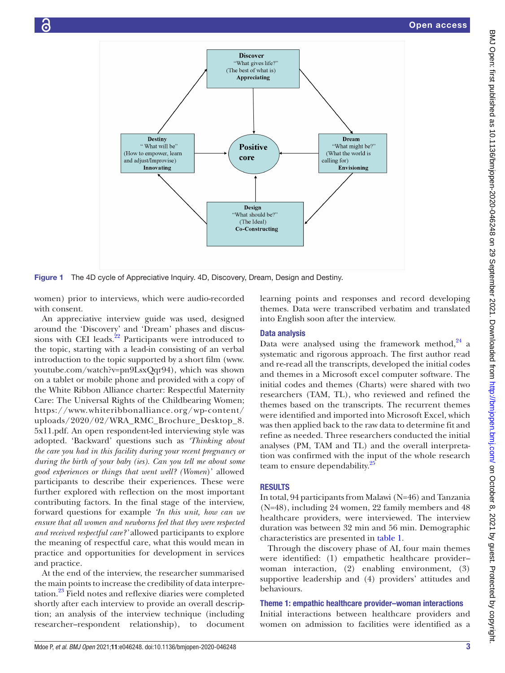

Figure 1 The 4D cycle of Appreciative Inquiry. 4D, Discovery, Dream, Design and Destiny.

women) prior to interviews, which were audio-recorded with consent.

An appreciative interview guide was used, designed around the 'Discovery' and 'Dream' phases and discussions with CEI leads.<sup>22</sup> Participants were introduced to the topic, starting with a lead-in consisting of an verbal introduction to the topic supported by a short film [\(www.](www.youtube.com/watch?v=pn9LsxQqr94) [youtube.com/watch?v=pn9LsxQqr94](www.youtube.com/watch?v=pn9LsxQqr94)), which was shown on a tablet or mobile phone and provided with a copy of the White Ribbon Alliance charter: Respectful Maternity Care: The Universal Rights of the Childbearing Women; [https://www.whiteribbonalliance.org/wp-content/](https://www.whiteribbonalliance.org/wp-content/uploads/2020/02/WRA_RMC_Brochure_Desktop_8.5x11.pdf) [uploads/2020/02/WRA\\_RMC\\_Brochure\\_Desktop\\_8.](https://www.whiteribbonalliance.org/wp-content/uploads/2020/02/WRA_RMC_Brochure_Desktop_8.5x11.pdf) [5x11.pdf.](https://www.whiteribbonalliance.org/wp-content/uploads/2020/02/WRA_RMC_Brochure_Desktop_8.5x11.pdf) An open respondent-led interviewing style was adopted. 'Backward' questions such as *'Thinking about the care you had in this facility during your recent pregnancy or during the birth of your baby (ies). Can you tell me about some good experiences or things that went well? (Women*)' allowed participants to describe their experiences. These were further explored with reflection on the most important contributing factors. In the final stage of the interview, forward questions for example *'In this unit, how can we ensure that all women and newborns feel that they were respected and received respectful care?'* allowed participants to explore the meaning of respectful care, what this would mean in practice and opportunities for development in services and practice.

At the end of the interview, the researcher summarised the main points to increase the credibility of data interpretation.[23](#page-8-14) Field notes and reflexive diaries were completed shortly after each interview to provide an overall description; an analysis of the interview technique (including researcher–respondent relationship), to document

<span id="page-2-0"></span>learning points and responses and record developing themes. Data were transcribed verbatim and translated into English soon after the interview.

# Data analysis

Data were analysed using the framework method, $24$  a systematic and rigorous approach. The first author read and re-read all the transcripts, developed the initial codes and themes in a Microsoft excel computer software. The initial codes and themes (Charts) were shared with two researchers (TAM, TL), who reviewed and refined the themes based on the transcripts. The recurrent themes were identified and imported into Microsoft Excel, which was then applied back to the raw data to determine fit and refine as needed. Three researchers conducted the initial analyses (PM, TAM and TL) and the overall interpretation was confirmed with the input of the whole research team to ensure dependability.<sup>2</sup>

# **RESULTS**

In total, 94 participants from Malawi (N=46) and Tanzania (N=48), including 24 women, 22 family members and 48 healthcare providers, were interviewed. The interview duration was between 32 min and 56 min. Demographic characteristics are presented in [table](#page-3-0) 1.

Through the discovery phase of AI, four main themes were identified: (1) empathetic healthcare provider– woman interaction, (2) enabling environment, (3) supportive leadership and (4) providers' attitudes and behaviours.

# Theme 1: empathic healthcare provider–woman interactions

Initial interactions between healthcare providers and women on admission to facilities were identified as a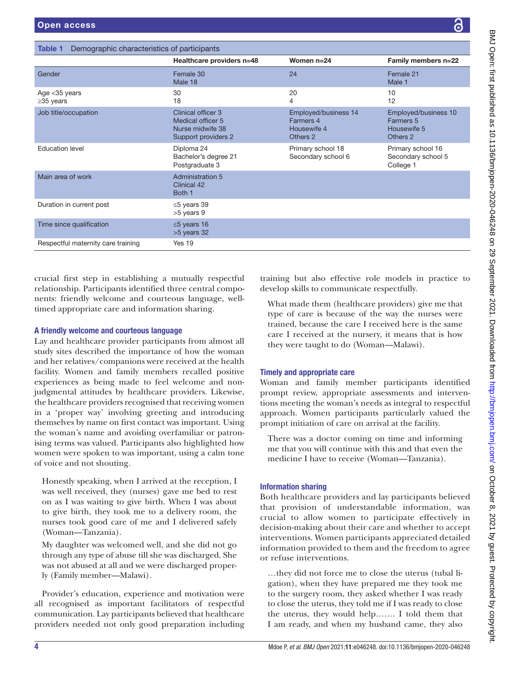<span id="page-3-0"></span>

| Demographic characteristics of participants<br>Table 1 |                                                                                    |                                                              |                                                              |
|--------------------------------------------------------|------------------------------------------------------------------------------------|--------------------------------------------------------------|--------------------------------------------------------------|
|                                                        | Healthcare providers n=48                                                          | Women $n=24$                                                 | Family members n=22                                          |
| Gender                                                 | Female 30<br>Male 18                                                               | 24                                                           | Female 21<br>Male 1                                          |
| Age $<$ 35 years<br>$\geq$ 35 years                    | 30<br>18                                                                           | 20<br>4                                                      | 10<br>12                                                     |
| Job title/occupation                                   | Clinical officer 3<br>Medical officer 5<br>Nurse midwife 38<br>Support providers 2 | Employed/business 14<br>Farmers 4<br>Housewife 4<br>Others 2 | Employed/business 10<br>Farmers 5<br>Housewife 5<br>Others 2 |
| <b>Education level</b>                                 | Diploma 24<br>Bachelor's degree 21<br>Postgraduate 3                               | Primary school 18<br>Secondary school 6                      | Primary school 16<br>Secondary school 5<br>College 1         |
| Main area of work                                      | <b>Administration 5</b><br>Clinical 42<br>Both 1                                   |                                                              |                                                              |
| Duration in current post                               | $\leq$ 5 years 39<br>>5 years 9                                                    |                                                              |                                                              |
| Time since qualification                               | $\leq$ 5 years 16<br>>5 years 32                                                   |                                                              |                                                              |
| Respectful maternity care training                     | Yes 19                                                                             |                                                              |                                                              |
|                                                        |                                                                                    |                                                              |                                                              |

crucial first step in establishing a mutually respectful relationship. Participants identified three central components: friendly welcome and courteous language, welltimed appropriate care and information sharing.

# A friendly welcome and courteous language

Lay and healthcare provider participants from almost all study sites described the importance of how the woman and her relatives/companions were received at the health facility. Women and family members recalled positive experiences as being made to feel welcome and nonjudgmental attitudes by healthcare providers. Likewise, the healthcare providers recognised that receiving women in a 'proper way' involving greeting and introducing themselves by name on first contact was important. Using the woman's name and avoiding overfamiliar or patronising terms was valued. Participants also highlighted how women were spoken to was important, using a calm tone of voice and not shouting.

Honestly speaking, when I arrived at the reception, I was well received, they (nurses) gave me bed to rest on as I was waiting to give birth. When I was about to give birth, they took me to a delivery room, the nurses took good care of me and I delivered safely (Woman—Tanzania).

My daughter was welcomed well, and she did not go through any type of abuse till she was discharged. She was not abused at all and we were discharged properly (Family member—Malawi).

Provider's education, experience and motivation were all recognised as important facilitators of respectful communication. Lay participants believed that healthcare providers needed not only good preparation including training but also effective role models in practice to develop skills to communicate respectfully.

What made them (healthcare providers) give me that type of care is because of the way the nurses were trained, because the care I received here is the same care I received at the nursery, it means that is how they were taught to do (Woman—Malawi).

# Timely and appropriate care

Woman and family member participants identified prompt review, appropriate assessments and interventions meeting the woman's needs as integral to respectful approach. Women participants particularly valued the prompt initiation of care on arrival at the facility.

There was a doctor coming on time and informing me that you will continue with this and that even the medicine I have to receive (Woman—Tanzania).

# Information sharing

Both healthcare providers and lay participants believed that provision of understandable information, was crucial to allow women to participate effectively in decision-making about their care and whether to accept interventions. Women participants appreciated detailed information provided to them and the freedom to agree or refuse interventions.

…they did not force me to close the uterus (tubal ligation), when they have prepared me they took me to the surgery room, they asked whether I was ready to close the uterus, they told me if I was ready to close the uterus, they would help……. I told them that I am ready, and when my husband came, they also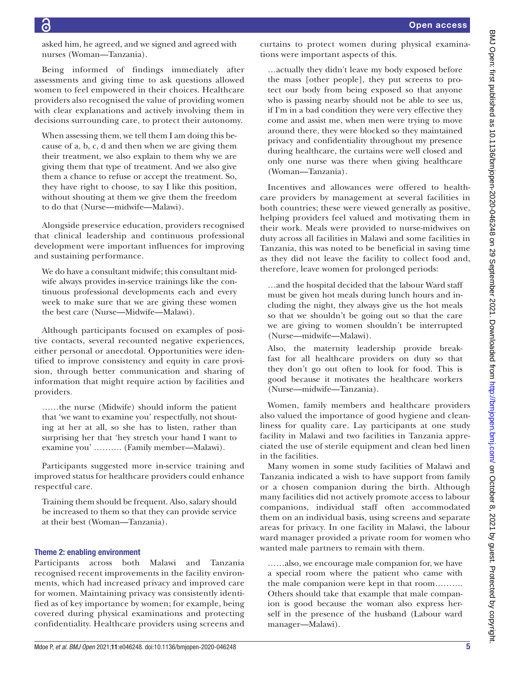asked him, he agreed, and we signed and agreed with nurses (Woman—Tanzania).

Being informed of findings immediately after assessments and giving time to ask questions allowed women to feel empowered in their choices. Healthcare providers also recognised the value of providing women with clear explanations and actively involving them in decisions surrounding care, to protect their autonomy.

When assessing them, we tell them I am doing this because of a, b, c, d and then when we are giving them their treatment, we also explain to them why we are giving them that type of treatment. And we also give them a chance to refuse or accept the treatment. So, they have right to choose, to say I like this position, without shouting at them we give them the freedom to do that (Nurse—midwife—Malawi).

Alongside preservice education, providers recognised that clinical leadership and continuous professional development were important influences for improving and sustaining performance.

We do have a consultant midwife; this consultant midwife always provides in-service trainings like the continuous professional developments each and every week to make sure that we are giving these women the best care (Nurse—Midwife—Malawi).

Although participants focused on examples of positive contacts, several recounted negative experiences, either personal or anecdotal. Opportunities were identified to improve consistency and equity in care provision, through better communication and sharing of information that might require action by facilities and providers.

……the nurse (Midwife) should inform the patient that 'we want to examine you' respectfully, not shouting at her at all, so she has to listen, rather than surprising her that 'hey stretch your hand I want to examine you' ………. (Family member—Malawi).

Participants suggested more in-service training and improved status for healthcare providers could enhance respectful care.

Training them should be frequent. Also, salary should be increased to them so that they can provide service at their best (Woman—Tanzania).

# Theme 2: enabling environment

Participants across both Malawi and Tanzania recognised recent improvements in the facility environments, which had increased privacy and improved care for women. Maintaining privacy was consistently identified as of key importance by women; for example, being covered during physical examinations and protecting confidentiality. Healthcare providers using screens and curtains to protect women during physical examinations were important aspects of this.

…actually they didn't leave my body exposed before the mass [other people], they put screens to protect our body from being exposed so that anyone who is passing nearby should not be able to see us, if I'm in a bad condition they were very effective they come and assist me, when men were trying to move around there, they were blocked so they maintained privacy and confidentiality throughout my presence during healthcare, the curtains were well closed and only one nurse was there when giving healthcare (Woman—Tanzania).

Incentives and allowances were offered to healthcare providers by management at several facilities in both countries; these were viewed generally as positive, helping providers feel valued and motivating them in their work. Meals were provided to nurse-midwives on duty across all facilities in Malawi and some facilities in Tanzania, this was noted to be beneficial in saving time as they did not leave the facility to collect food and, therefore, leave women for prolonged periods:

…and the hospital decided that the labour Ward staff must be given hot meals during lunch hours and including the night, they always give us the hot meals so that we shouldn't be going out so that the care we are giving to women shouldn't be interrupted (Nurse—midwife—Malawi).

Also, the maternity leadership provide breakfast for all healthcare providers on duty so that they don't go out often to look for food. This is good because it motivates the healthcare workers (Nurse—midwife—Tanzania).

Women, family members and healthcare providers also valued the importance of good hygiene and cleanliness for quality care. Lay participants at one study facility in Malawi and two facilities in Tanzania appreciated the use of sterile equipment and clean bed linen in the facilities.

Many women in some study facilities of Malawi and Tanzania indicated a wish to have support from family or a chosen companion during the birth. Although many facilities did not actively promote access to labour companions, individual staff often accommodated them on an individual basis, using screens and separate areas for privacy. In one facility in Malawi, the labour ward manager provided a private room for women who wanted male partners to remain with them.

……also, we encourage male companion for, we have a special room where the patient who came with the male companion were kept in that room………. Others should take that example that male companion is good because the woman also express herself in the presence of the husband (Labour ward manager—Malawi).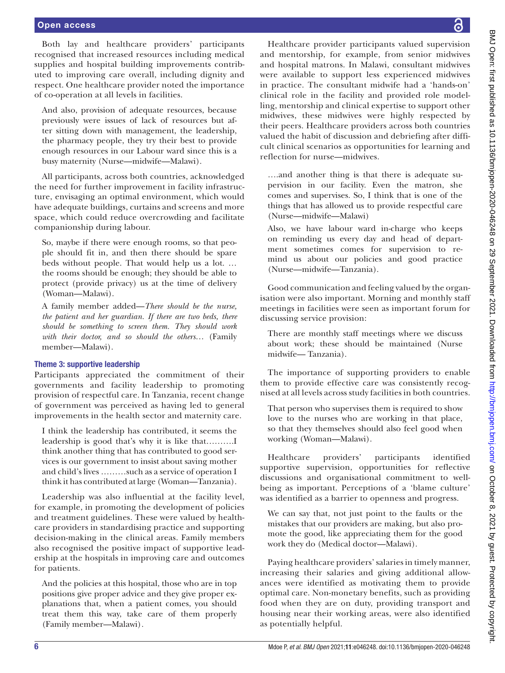## Open access

Both lay and healthcare providers' participants recognised that increased resources including medical supplies and hospital building improvements contributed to improving care overall, including dignity and respect. One healthcare provider noted the importance of co-operation at all levels in facilities.

And also, provision of adequate resources, because previously were issues of lack of resources but after sitting down with management, the leadership, the pharmacy people, they try their best to provide enough resources in our Labour ward since this is a busy maternity (Nurse—midwife—Malawi).

All participants, across both countries, acknowledged the need for further improvement in facility infrastructure, envisaging an optimal environment, which would have adequate buildings, curtains and screens and more space, which could reduce overcrowding and facilitate companionship during labour.

So, maybe if there were enough rooms, so that people should fit in, and then there should be spare beds without people. That would help us a lot. … the rooms should be enough; they should be able to protect (provide privacy) us at the time of delivery (Woman—Malawi).

A family member added—*There should be the nurse, the patient and her guardian. If there are two beds, there should be something to screen them. They should work with their doctor, and so should the others*… (Family member—Malawi).

#### Theme 3: supportive leadership

Participants appreciated the commitment of their governments and facility leadership to promoting provision of respectful care. In Tanzania, recent change of government was perceived as having led to general improvements in the health sector and maternity care.

I think the leadership has contributed, it seems the leadership is good that's why it is like that……….I think another thing that has contributed to good services is our government to insist about saving mother and child's lives ………such as a service of operation I think it has contributed at large (Woman—Tanzania).

Leadership was also influential at the facility level, for example, in promoting the development of policies and treatment guidelines. These were valued by healthcare providers in standardising practice and supporting decision-making in the clinical areas. Family members also recognised the positive impact of supportive leadership at the hospitals in improving care and outcomes for patients.

And the policies at this hospital, those who are in top positions give proper advice and they give proper explanations that, when a patient comes, you should treat them this way, take care of them properly (Family member—Malawi)*.*

BMJ Open: first published as 10.1136/bmjopen-2020-046248 on 29 September 2021. Downloaded from http://bmjopen.bmj.com/ on October 8, 2021 by guest. Protected by copyright. BMJ Open: first published as 10.1136/bmjopen-2020-046248 on 29 September 2021. Downloaded from <http://bmjopen.bmj.com/> on October 8, 2021 by guest. Protected by copyright.

Healthcare provider participants valued supervision and mentorship, for example, from senior midwives and hospital matrons. In Malawi, consultant midwives were available to support less experienced midwives in practice. The consultant midwife had a 'hands-on' clinical role in the facility and provided role modelling, mentorship and clinical expertise to support other midwives, these midwives were highly respected by their peers. Healthcare providers across both countries valued the habit of discussion and debriefing after difficult clinical scenarios as opportunities for learning and reflection for nurse—midwives.

….and another thing is that there is adequate supervision in our facility. Even the matron, she comes and supervises. So, I think that is one of the things that has allowed us to provide respectful care (Nurse—midwife—Malawi)

Also, we have labour ward in-charge who keeps on reminding us every day and head of department sometimes comes for supervision to remind us about our policies and good practice (Nurse—midwife—Tanzania).

Good communication and feeling valued by the organisation were also important. Morning and monthly staff meetings in facilities were seen as important forum for discussing service provision:

There are monthly staff meetings where we discuss about work; these should be maintained (Nurse midwife— Tanzania).

The importance of supporting providers to enable them to provide effective care was consistently recognised at all levels across study facilities in both countries.

That person who supervises them is required to show love to the nurses who are working in that place, so that they themselves should also feel good when working (Woman—Malawi).

Healthcare providers' participants identified supportive supervision, opportunities for reflective discussions and organisational commitment to wellbeing as important. Perceptions of a 'blame culture' was identified as a barrier to openness and progress.

We can say that, not just point to the faults or the mistakes that our providers are making, but also promote the good, like appreciating them for the good work they do (Medical doctor—Malawi).

Paying healthcare providers' salaries in timely manner, increasing their salaries and giving additional allowances were identified as motivating them to provide optimal care. Non-monetary benefits, such as providing food when they are on duty, providing transport and housing near their working areas, were also identified as potentially helpful.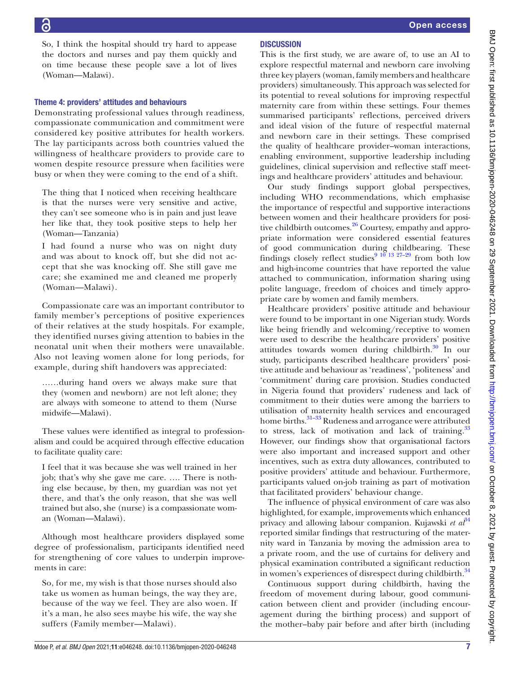So, I think the hospital should try hard to appease the doctors and nurses and pay them quickly and on time because these people save a lot of lives (Woman—Malawi).

# Theme 4: providers' attitudes and behaviours

Demonstrating professional values through readiness, compassionate communication and commitment were considered key positive attributes for health workers. The lay participants across both countries valued the willingness of healthcare providers to provide care to women despite resource pressure when facilities were busy or when they were coming to the end of a shift.

The thing that I noticed when receiving healthcare is that the nurses were very sensitive and active, they can't see someone who is in pain and just leave her like that, they took positive steps to help her (Woman—Tanzania)

I had found a nurse who was on night duty and was about to knock off, but she did not accept that she was knocking off. She still gave me care; she examined me and cleaned me properly (Woman—Malawi).

Compassionate care was an important contributor to family member's perceptions of positive experiences of their relatives at the study hospitals. For example, they identified nurses giving attention to babies in the neonatal unit when their mothers were unavailable. Also not leaving women alone for long periods, for example, during shift handovers was appreciated:

……during hand overs we always make sure that they (women and newborn) are not left alone; they are always with someone to attend to them (Nurse midwife—Malawi).

These values were identified as integral to professionalism and could be acquired through effective education to facilitate quality care:

I feel that it was because she was well trained in her job; that's why she gave me care. …. There is nothing else because, by then, my guardian was not yet there, and that's the only reason, that she was well trained but also, she (nurse) is a compassionate woman (Woman—Malawi).

Although most healthcare providers displayed some degree of professionalism, participants identified need for strengthening of core values to underpin improvements in care:

So, for me, my wish is that those nurses should also take us women as human beings, the way they are, because of the way we feel. They are also woen. If it's a man, he also sees maybe his wife, the way she suffers (Family member—Malawi).

This is the first study, we are aware of, to use an AI to explore respectful maternal and newborn care involving three key players (woman, family members and healthcare providers) simultaneously. This approach was selected for its potential to reveal solutions for improving respectful maternity care from within these settings. Four themes summarised participants' reflections, perceived drivers and ideal vision of the future of respectful maternal and newborn care in their settings. These comprised the quality of healthcare provider–woman interactions, enabling environment, supportive leadership including guidelines, clinical supervision and reflective staff meetings and healthcare providers' attitudes and behaviour.

Our study findings support global perspectives, including WHO recommendations, which emphasise the importance of respectful and supportive interactions between women and their healthcare providers for positive childbirth outcomes.<sup>26</sup> Courtesy, empathy and appropriate information were considered essential features of good communication during childbearing. These findings closely reflect studies<sup>9</sup> <sup>10</sup> <sup>13</sup> <sup>27-29</sup> from both low and high-income countries that have reported the value attached to communication, information sharing using polite language, freedom of choices and timely appropriate care by women and family members.

Healthcare providers' positive attitude and behaviour were found to be important in one Nigerian study. Words like being friendly and welcoming/receptive to women were used to describe the healthcare providers' positive attitudes towards women during childbirth.<sup>30</sup> In our study, participants described healthcare providers' positive attitude and behaviour as 'readiness', 'politeness' and 'commitment' during care provision. Studies conducted in Nigeria found that providers' rudeness and lack of commitment to their duties were among the barriers to utilisation of maternity health services and encouraged home births.<sup>31–33</sup> Rudeness and arrogance were attributed to stress, lack of motivation and lack of training.<sup>[33](#page-8-20)</sup> However, our findings show that organisational factors were also important and increased support and other incentives, such as extra duty allowances, contributed to positive providers' attitude and behaviour. Furthermore, participants valued on-job training as part of motivation that facilitated providers' behaviour change.

The influence of physical environment of care was also highlighted, for example, improvements which enhanced privacy and allowing labour companion. Kujawski *et al*<sup>[34](#page-9-0)</sup> reported similar findings that restructuring of the maternity ward in Tanzania by moving the admission area to a private room, and the use of curtains for delivery and physical examination contributed a significant reduction in women's experiences of disrespect during childbirth.<sup>[34](#page-9-0)</sup>

Continuous support during childbirth, having the freedom of movement during labour, good communication between client and provider (including encouragement during the birthing process) and support of the mother–baby pair before and after birth (including

Mdoe P, *et al*. *BMJ Open* 2021;11:e046248. doi:10.1136/bmjopen-2020-046248 7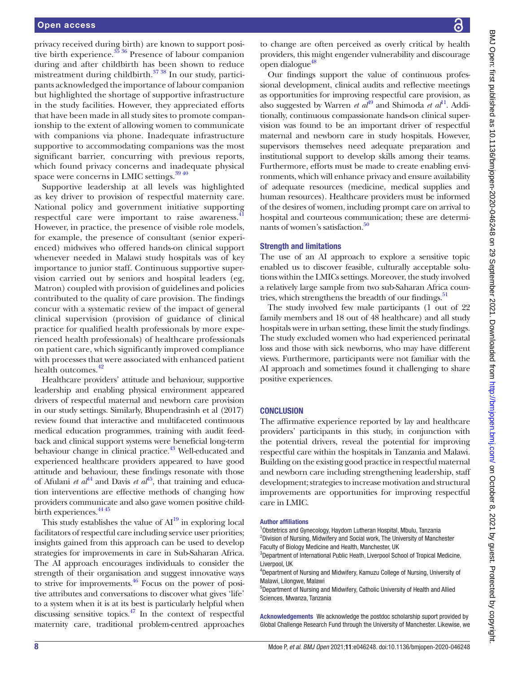privacy received during birth) are known to support positive birth experience. $\frac{35}{36}$  Presence of labour companion during and after childbirth has been shown to reduce mistreatment during childbirth. $37 38$  In our study, participants acknowledged the importance of labour companion but highlighted the shortage of supportive infrastructure in the study facilities. However, they appreciated efforts that have been made in all study sites to promote companionship to the extent of allowing women to communicate with companions via phone. Inadequate infrastructure supportive to accommodating companions was the most significant barrier, concurring with previous reports, which found privacy concerns and inadequate physical space were concerns in LMIC settings.<sup>39 40</sup>

Supportive leadership at all levels was highlighted as key driver to provision of respectful maternity care. National policy and government initiative supporting respectful care were important to raise awareness.<sup>[41](#page-9-4)</sup> However, in practice, the presence of visible role models, for example, the presence of consultant (senior experienced) midwives who offered hands-on clinical support whenever needed in Malawi study hospitals was of key importance to junior staff. Continuous supportive supervision carried out by seniors and hospital leaders (eg, Matron) coupled with provision of guidelines and policies contributed to the quality of care provision. The findings concur with a systematic review of the impact of general clinical supervision (provision of guidance of clinical practice for qualified health professionals by more experienced health professionals) of healthcare professionals on patient care, which significantly improved compliance with processes that were associated with enhanced patient health outcomes.<sup>[42](#page-9-5)</sup>

Healthcare providers' attitude and behaviour, supportive leadership and enabling physical environment appeared drivers of respectful maternal and newborn care provision in our study settings. Similarly, Bhupendrasinh et al (2017) review found that interactive and multifaceted continuous medical education programmes, training with audit feedback and clinical support systems were beneficial long-term behaviour change in clinical practice.<sup>43</sup> Well-educated and experienced healthcare providers appeared to have good attitude and behaviour, these findings resonate with those of Afulani *et al*<sup>[44](#page-9-7)</sup> and Davis *et al*<sup>45</sup>, that training and education interventions are effective methods of changing how providers communicate and also gave women positive childbirth experiences.  $44\frac{45}{10}$ 

This study establishes the value of  $AI^{19}$  in exploring local facilitators of respectful care including service user priorities; insights gained from this approach can be used to develop strategies for improvements in care in Sub-Saharan Africa. The AI approach encourages individuals to consider the strength of their organisation and suggest innovative ways to strive for improvements.<sup>46</sup> Focus on the power of positive attributes and conversations to discover what gives 'life' to a system when it is at its best is particularly helpful when discussing sensitive topics. $47$  In the context of respectful maternity care, traditional problem-centred approaches

BMJ Open: first published as 10.1136/bmjopen-2020-046248 on 29 September 2021. Downloaded from http://bmjopen.bmj.com/ on October 8, 2021 by guest. Protected by copyright. BMJ Open: first published as 10.1136/bmjopen-2020-046248 on 29 September 2021. Downloaded from <http://bmjopen.bmj.com/> on October 8, 2021 by guest. Protected by copyright.

to change are often perceived as overly critical by health providers, this might engender vulnerability and discourage open dialogue<sup>[48](#page-9-11)</sup>

Our findings support the value of continuous professional development, clinical audits and reflective meetings as opportunities for improving respectful care provision, as also suggested by Warren *et al*<sup>[49](#page-9-12)</sup> and Shimoda *et al*<sup>[11](#page-8-21)</sup>. Additionally, continuous compassionate hands-on clinical supervision was found to be an important driver of respectful maternal and newborn care in study hospitals. However, supervisors themselves need adequate preparation and institutional support to develop skills among their teams. Furthermore, efforts must be made to create enabling environments, which will enhance privacy and ensure availability of adequate resources (medicine, medical supplies and human resources). Healthcare providers must be informed of the desires of women, including prompt care on arrival to hospital and courteous communication; these are determinants of women's satisfaction.<sup>50</sup>

#### Strength and limitations

The use of an AI approach to explore a sensitive topic enabled us to discover feasible, culturally acceptable solutions within the LMICs settings. Moreover, the study involved a relatively large sample from two sub-Saharan Africa coun-tries, which strengthens the breadth of our findings.<sup>[51](#page-9-14)</sup>

The study involved few male participants (1 out of 22 family members and 18 out of 48 healthcare) and all study hospitals were in urban setting, these limit the study findings. The study excluded women who had experienced perinatal loss and those with sick newborns, who may have different views. Furthermore, participants were not familiar with the AI approach and sometimes found it challenging to share positive experiences.

## **CONCLUSION**

The affirmative experience reported by lay and healthcare providers' participants in this study, in conjunction with the potential drivers, reveal the potential for improving respectful care within the hospitals in Tanzania and Malawi. Building on the existing good practice in respectful maternal and newborn care including strengthening leadership, staff development; strategies to increase motivation and structural improvements are opportunities for improving respectful care in LMIC.

#### Author affiliations

<sup>1</sup>Obstetrics and Gynecology, Haydom Lutheran Hospital, Mbulu, Tanzania <sup>2</sup> Division of Nursing, Midwifery and Social work, The University of Manchester Faculty of Biology Medicine and Health, Manchester, UK

<sup>3</sup>Department of International Public Heath, Liverpool School of Tropical Medicine, Liverpool, UK

4 Department of Nursing and Midwifery, Kamuzu College of Nursing, University of Malawi, Lilongwe, Malawi

5 Department of Nursing and Midwifery, Catholic University of Health and Allied Sciences, Mwanza, Tanzania

Acknowledgements We acknowledge the postdoc scholarship suport provided by Global Challenge Research Fund through the University of Manchester. Likewise, we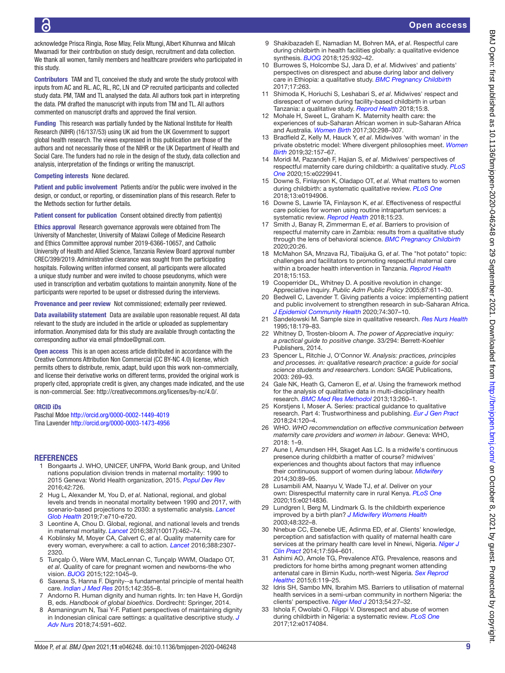acknowledge Prisca Ringia, Rose Mlay, Felix Mtungi, Albert Kihunrwa and Milcah Mwamadi for their contribution on study design, recruitment and data collection. We thank all women, family members and healthcare providers who participated in this study.

Contributors TAM and TL conceived the study and wrote the study protocol with inputs from AC and RL. AC, RL, RC, LN and CP recruited participants and collected study data. PM, TAM and TL analysed the data. All authors took part in interpreting the data. PM drafted the manuscript with inputs from TM and TL. All authors commented on manuscript drafts and approved the final version.

Funding This research was partially funded by the National Institute for Health Research (NIHR) (16/137/53) using UK aid from the UK Government to support global health research. The views expressed in this publication are those of the authors and not necessarily those of the NIHR or the UK Department of Health and Social Care. The funders had no role in the design of the study, data collection and analysis, interpretation of the findings or writing the manuscript.

#### Competing interests None declared.

Patient and public involvement Patients and/or the public were involved in the design, or conduct, or reporting, or dissemination plans of this research. Refer to the Methods section for further details.

Patient consent for publication Consent obtained directly from patient(s)

Ethics approval Research governance approvals were obtained from The University of Manchester, University of Malawi College of Medicine Research and Ethics Committee approval number 2019-6366-10657, and Catholic University of Health and Allied Science, Tanzania Review Board approval number CREC/399/2019. Administrative clearance was sought from the participating hospitals. Following written informed consent, all participants were allocated a unique study number and were invited to choose pseudonyms, which were used in transcription and verbatim quotations to maintain anonymity. None of the participants were reported to be upset or distressed during the interviews.

Provenance and peer review Not commissioned; externally peer reviewed.

Data availability statement Data are available upon reasonable request. All data relevant to the study are included in the article or uploaded as supplementary information. Anonymised data for this study are available through contacting the corresponding author via email pfmdoe@gmail.com.

Open access This is an open access article distributed in accordance with the Creative Commons Attribution Non Commercial (CC BY-NC 4.0) license, which permits others to distribute, remix, adapt, build upon this work non-commercially, and license their derivative works on different terms, provided the original work is properly cited, appropriate credit is given, any changes made indicated, and the use is non-commercial. See: [http://creativecommons.org/licenses/by-nc/4.0/.](http://creativecommons.org/licenses/by-nc/4.0/)

#### ORCID iDs

Paschal Mdoe <http://orcid.org/0000-0002-1449-4019> Tina Lavender<http://orcid.org/0000-0003-1473-4956>

#### <span id="page-8-0"></span>**REFERENCES**

- 1 Bongaarts J. WHO, UNICEF, UNFPA, World Bank group, and United nations population division trends in maternal mortality: 1990 to 2015 Geneva: World Health organization, 2015. *[Popul Dev Rev](http://dx.doi.org/10.1111/padr.12033)* 2016;42:726.
- 2 Hug L, Alexander M, You D, *et al*. National, regional, and global levels and trends in neonatal mortality between 1990 and 2017, with scenario-based projections to 2030: a systematic analysis. *[Lancet](http://dx.doi.org/10.1016/S2214-109X(19)30163-9)  [Glob Health](http://dx.doi.org/10.1016/S2214-109X(19)30163-9)* 2019;7:e710-e720.
- <span id="page-8-1"></span>3 Leontine A, Chou D. Global, regional, and national levels and trends in maternal mortality. *[Lancet](http://dx.doi.org/10.1016/S0140-6736(15)00838-7)* 2016;387(10017):462–74.
- 4 Koblinsky M, Moyer CA, Calvert C, *et al*. Quality maternity care for every woman, everywhere: a call to action. *[Lancet](http://dx.doi.org/10.1016/S0140-6736(16)31333-2)* 2016;388:2307- 2320.
- <span id="page-8-2"></span>5 Tunçalp Ӧ, Were WM, MacLennan C, Tunçalp WWM, Oladapo OT, *et al*. Quality of care for pregnant women and newborns-the who vision. *[BJOG](http://dx.doi.org/10.1111/1471-0528.13451)* 2015;122:1045–9.
- <span id="page-8-3"></span>6 Saxena S, Hanna F. Dignity--a fundamental principle of mental health care. *[Indian J Med Res](http://dx.doi.org/10.4103/0971-5916.169184)* 2015;142:355–8.
- <span id="page-8-4"></span>7 Andorno R. Human dignity and human rights. In: ten Have H, Gordijn B, eds. *Handbook of global bioethics*. Dordrecht: Springer, 2014.
- <span id="page-8-5"></span>8 Asmaningrum N, Tsai Y-F. Patient perspectives of maintaining dignity in Indonesian clinical care settings: a qualitative descriptive study. *[J](http://dx.doi.org/10.1111/jan.13469)  [Adv Nurs](http://dx.doi.org/10.1111/jan.13469)* 2018;74:591–602.
- <span id="page-8-6"></span>9 Shakibazadeh E, Namadian M, Bohren MA, *et al*. Respectful care during childbirth in health facilities globally: a qualitative evidence synthesis. *[BJOG](http://dx.doi.org/10.1111/1471-0528.15015)* 2018;125:932–42.
- 10 Burrowes S, Holcombe SJ, Jara D, *et al*. Midwives' and patients' perspectives on disrespect and abuse during labor and delivery care in Ethiopia: a qualitative study. *[BMC Pregnancy Childbirth](http://dx.doi.org/10.1186/s12884-017-1442-1)* 2017;17:263.
- <span id="page-8-21"></span>11 Shimoda K, Horiuchi S, Leshabari S, *et al*. Midwives' respect and disrespect of women during facility-based childbirth in urban Tanzania: a qualitative study. *[Reprod Health](http://dx.doi.org/10.1186/s12978-017-0447-6)* 2018;15:8.
- 12 Mohale H, Sweet L, Graham K. Maternity health care: the experiences of sub-Saharan African women in sub-Saharan Africa and Australia. *[Women Birth](http://dx.doi.org/10.1016/j.wombi.2016.11.011)* 2017;30:298–307.
- 13 Bradfield Z, Kelly M, Hauck Y, *et al*. Midwives 'with woman' in the private obstetric model: Where divergent philosophies meet. *[Women](http://dx.doi.org/10.1016/j.wombi.2018.07.013)  [Birth](http://dx.doi.org/10.1016/j.wombi.2018.07.013)* 2019;32:157–67.
- <span id="page-8-7"></span>14 Moridi M, Pazandeh F, Hajian S, *et al*. Midwives' perspectives of respectful maternity care during childbirth: a qualitative study. *[PLoS](http://dx.doi.org/10.1371/journal.pone.0229941)  [One](http://dx.doi.org/10.1371/journal.pone.0229941)* 2020;15:e0229941.
- 15 Downe S, Finlayson K, Oladapo OT, *et al*. What matters to women during childbirth: a systematic qualitative review. *[PLoS One](http://dx.doi.org/10.1371/journal.pone.0194906)* 2018;13:e0194906.
- <span id="page-8-8"></span>16 Downe S, Lawrie TA, Finlayson K, *et al*. Effectiveness of respectful care policies for women using routine intrapartum services: a systematic review. *[Reprod Health](http://dx.doi.org/10.1186/s12978-018-0466-y)* 2018;15:23.
- <span id="page-8-9"></span>17 Smith J, Banay R, Zimmerman E, *et al*. Barriers to provision of respectful maternity care in Zambia: results from a qualitative study through the lens of behavioral science. *[BMC Pregnancy Childbirth](http://dx.doi.org/10.1186/s12884-019-2579-x)* 2020;20:26.
- 18 McMahon SA, Mnzava RJ, Tibaijuka G, *et al*. The "hot potato" topic: challenges and facilitators to promoting respectful maternal care within a broader health intervention in Tanzania. *[Reprod Health](http://dx.doi.org/10.1186/s12978-018-0589-1)* 2018;15:153.
- <span id="page-8-10"></span>19 Cooperrider DL, Whitney D. A positive revolution in change: Appreciative inquiry. *Public Adm Public Policy* 2005;87:611–30.
- <span id="page-8-11"></span>20 Bedwell C, Lavender T. Giving patients a voice: implementing patient and public involvement to strengthen research in sub-Saharan Africa. *[J Epidemiol Community Health](http://dx.doi.org/10.1136/jech-2019-212525)* 2020;74:307–10.
- <span id="page-8-12"></span>21 Sandelowski M. Sample size in qualitative research. *[Res Nurs Health](http://dx.doi.org/10.1002/nur.4770180211)* 1995;18:179–83.
- <span id="page-8-13"></span>22 Whitney D, Trosten-bloom A. *The power of Appreciative inquiry: a practical guide to positive change*. 33/294: Berrett-Koehler Publishers, 2014.
- <span id="page-8-14"></span>23 Spencer L, Ritchie J, O'Connor W. *Analysis: practices, principles and processes. in: qualitative research practice: a guide for social science students and researchers*. London: SAGE Publications, 2003: 269–93.
- <span id="page-8-15"></span>24 Gale NK, Heath G, Cameron E, *et al*. Using the framework method for the analysis of qualitative data in multi-disciplinary health research. *[BMC Med Res Methodol](http://dx.doi.org/10.1186/1471-2288-13-117)* 2013;13:260–1.
- <span id="page-8-16"></span>25 Korstjens I, Moser A. Series: practical guidance to qualitative research. Part 4: Trustworthiness and publishing. *[Eur J Gen Pract](http://dx.doi.org/10.1080/13814788.2017.1375092)* 2018;24:120–4.
- <span id="page-8-17"></span>26 WHO. *WHO recommendation on effective communication between maternity care providers and women in labour*. Geneva: WHO, 2018: 1–9.
- 27 Aune I, Amundsen HH, Skaget Aas LC. Is a midwife's continuous presence during childbirth a matter of course? midwives' experiences and thoughts about factors that may influence their continuous support of women during labour. *[Midwifery](http://dx.doi.org/10.1016/j.midw.2013.02.001)* 2014;30:89–95.
- 28 Lusambili AM, Naanyu V, Wade TJ, *et al*. Deliver on your own: Disrespectful maternity care in rural Kenya. *[PLoS One](http://dx.doi.org/10.1371/journal.pone.0214836)* 2020;15:e0214836.
- 29 Lundgren I, Berg M, Lindmark G. Is the childbirth experience improved by a birth plan? *[J Midwifery Womens Health](http://dx.doi.org/10.1016/s1526-9523(03)00278-2)* 2003;48:322–8.
- <span id="page-8-18"></span>30 Nnebue CC, Ebenebe UE, Adinma ED, *et al*. Clients' knowledge, perception and satisfaction with quality of maternal health care services at the primary health care level in Nnewi, Nigeria. *[Niger J](http://dx.doi.org/10.4103/1119-3077.141425)  [Clin Pract](http://dx.doi.org/10.4103/1119-3077.141425)* 2014;17:594–601.
- <span id="page-8-19"></span>31 Ashimi AO, Amole TG, Prevalence ATG. Prevalence, reasons and predictors for home births among pregnant women attending antenatal care in Birnin Kudu, north-west Nigeria. *[Sex Reprod](http://dx.doi.org/10.1016/j.srhc.2015.01.004)  [Healthc](http://dx.doi.org/10.1016/j.srhc.2015.01.004)* 2015;6:119–25.
- 32 Idris SH, Sambo MN, Ibrahim MS. Barriers to utilisation of maternal health services in a semi-urban community in northern Nigeria: the clients' perspective. *[Niger Med J](http://dx.doi.org/10.4103/0300-1652.108890)* 2013;54:27–32.
- <span id="page-8-20"></span>33 Ishola F, Owolabi O, Filippi V. Disrespect and abuse of women during childbirth in Nigeria: a systematic review. *[PLoS One](http://dx.doi.org/10.1371/journal.pone.0174084)* 2017;12:e0174084.